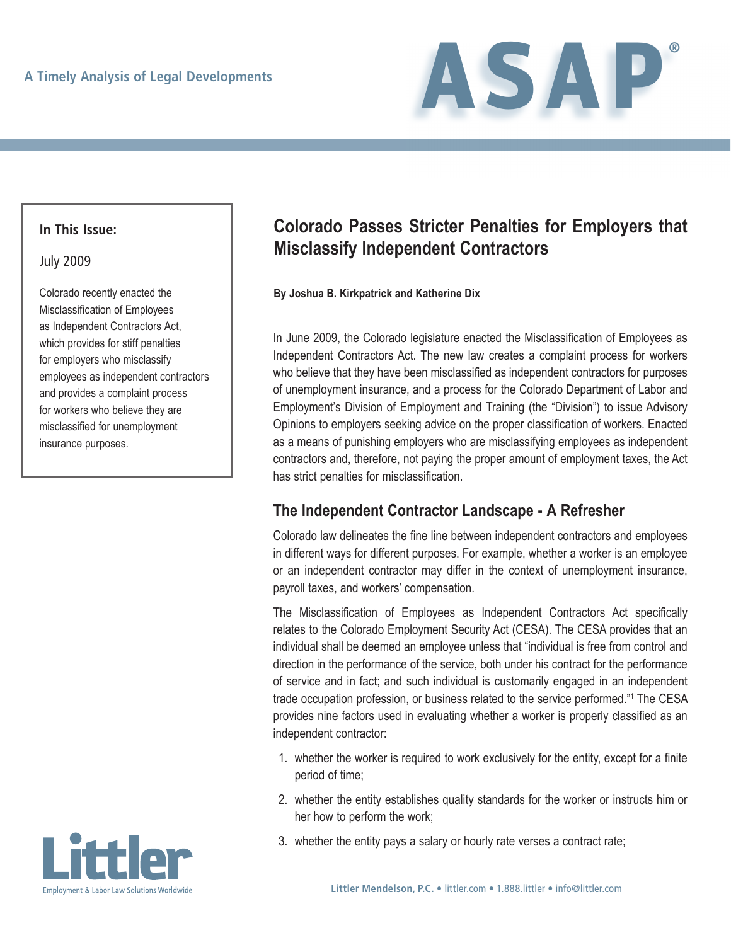

## **In This Issue:**

### July 2009

Colorado recently enacted the Misclassification of Employees as Independent Contractors Act, which provides for stiff penalties for employers who misclassify employees as independent contractors and provides a complaint process for workers who believe they are misclassified for unemployment insurance purposes.



### **By Joshua B. Kirkpatrick and Katherine Dix**

In June 2009, the Colorado legislature enacted the Misclassification of Employees as Independent Contractors Act. The new law creates a complaint process for workers who believe that they have been misclassified as independent contractors for purposes of unemployment insurance, and a process for the Colorado Department of Labor and Employment's Division of Employment and Training (the "Division") to issue Advisory Opinions to employers seeking advice on the proper classification of workers. Enacted as a means of punishing employers who are misclassifying employees as independent contractors and, therefore, not paying the proper amount of employment taxes, the Act has strict penalties for misclassification.

# **The Independent Contractor Landscape - A Refresher**

Colorado law delineates the fine line between independent contractors and employees in different ways for different purposes. For example, whether a worker is an employee or an independent contractor may differ in the context of unemployment insurance, payroll taxes, and workers' compensation.

The Misclassification of Employees as Independent Contractors Act specifically relates to the Colorado Employment Security Act (CESA). The CESA provides that an individual shall be deemed an employee unless that "individual is free from control and direction in the performance of the service, both under his contract for the performance of service and in fact; and such individual is customarily engaged in an independent trade occupation profession, or business related to the service performed."<sup>1</sup> The CESA provides nine factors used in evaluating whether a worker is properly classified as an independent contractor:

- 1. whether the worker is required to work exclusively for the entity, except for a finite period of time;
- 2. whether the entity establishes quality standards for the worker or instructs him or her how to perform the work;
- 3. whether the entity pays a salary or hourly rate verses a contract rate;